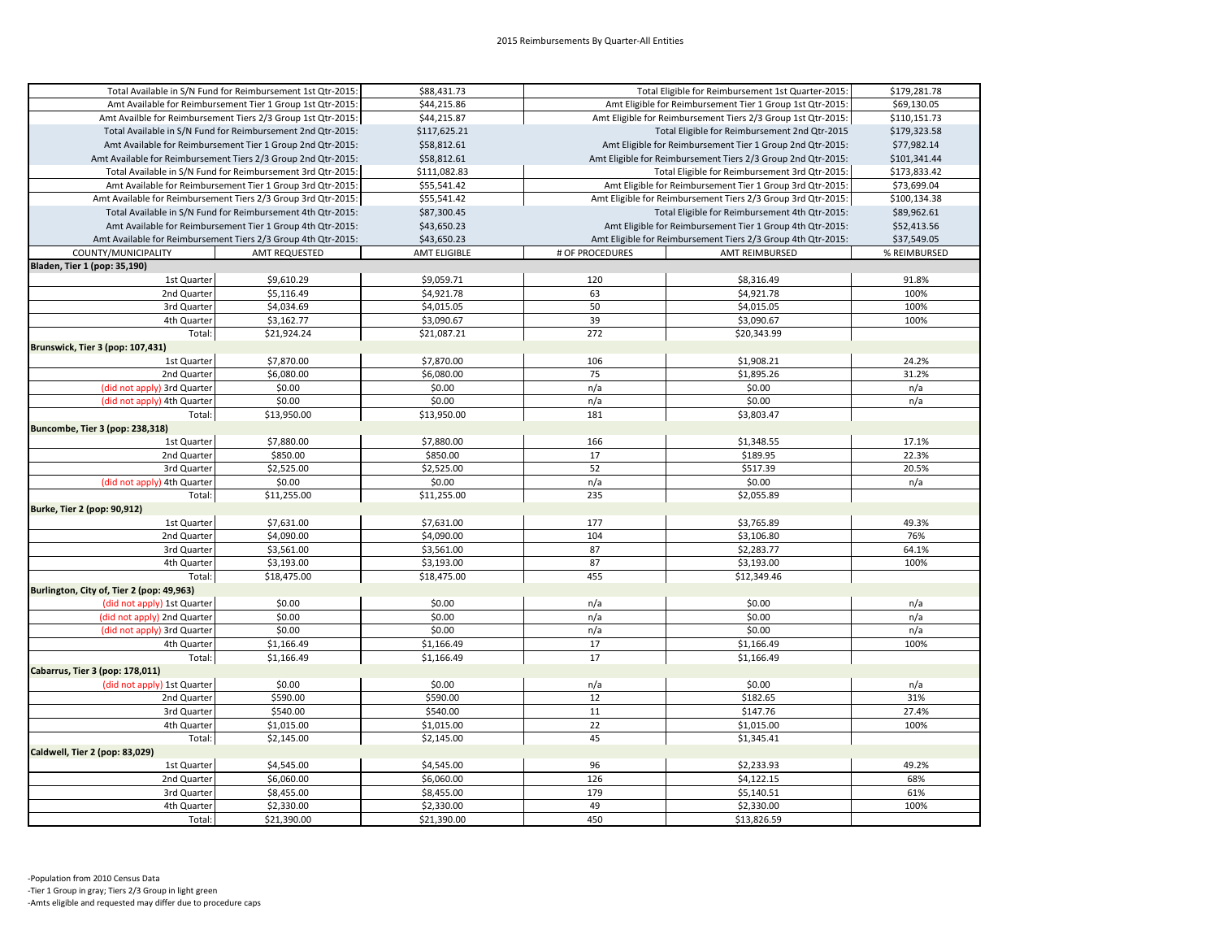| Total Available in S/N Fund for Reimbursement 1st Qtr-2015:  |                                                               | \$88,431.73         | Total Eligible for Reimbursement 1st Quarter-2015:           |                                                           | \$179,281.78 |
|--------------------------------------------------------------|---------------------------------------------------------------|---------------------|--------------------------------------------------------------|-----------------------------------------------------------|--------------|
| Amt Available for Reimbursement Tier 1 Group 1st Qtr-2015:   |                                                               | \$44,215.86         | Amt Eligible for Reimbursement Tier 1 Group 1st Qtr-2015:    |                                                           | \$69,130.05  |
| Amt Availble for Reimbursement Tiers 2/3 Group 1st Qtr-2015: |                                                               | \$44,215.87         | Amt Eligible for Reimbursement Tiers 2/3 Group 1st Qtr-2015: |                                                           | \$110,151.73 |
| Total Available in S/N Fund for Reimbursement 2nd Qtr-2015:  |                                                               | \$117,625.21        | Total Eligible for Reimbursement 2nd Qtr-2015                |                                                           | \$179,323.58 |
|                                                              | Amt Available for Reimbursement Tier 1 Group 2nd Qtr-2015:    | \$58,812.61         | Amt Eligible for Reimbursement Tier 1 Group 2nd Qtr-2015:    |                                                           | \$77,982.14  |
|                                                              | Amt Available for Reimbursement Tiers 2/3 Group 2nd Qtr-2015: | \$58,812.61         | Amt Eligible for Reimbursement Tiers 2/3 Group 2nd Qtr-2015: |                                                           | \$101,341.44 |
|                                                              | Total Available in S/N Fund for Reimbursement 3rd Qtr-2015:   | \$111,082.83        |                                                              | Total Eligible for Reimbursement 3rd Qtr-2015:            | \$173,833.42 |
|                                                              | Amt Available for Reimbursement Tier 1 Group 3rd Qtr-2015:    | \$55,541.42         | Amt Eligible for Reimbursement Tier 1 Group 3rd Qtr-2015:    |                                                           | \$73,699.04  |
|                                                              | Amt Available for Reimbursement Tiers 2/3 Group 3rd Qtr-2015: | \$55,541.42         | Amt Eligible for Reimbursement Tiers 2/3 Group 3rd Qtr-2015: |                                                           | \$100,134.38 |
|                                                              | Total Available in S/N Fund for Reimbursement 4th Qtr-2015:   | \$87,300.45         | Total Eligible for Reimbursement 4th Qtr-2015:               |                                                           | \$89,962.61  |
|                                                              | Amt Available for Reimbursement Tier 1 Group 4th Qtr-2015:    | \$43,650.23         |                                                              | Amt Eligible for Reimbursement Tier 1 Group 4th Qtr-2015: | \$52,413.56  |
|                                                              | Amt Available for Reimbursement Tiers 2/3 Group 4th Qtr-2015: | \$43,650.23         | Amt Eligible for Reimbursement Tiers 2/3 Group 4th Qtr-2015: |                                                           | \$37,549.05  |
| COUNTY/MUNICIPALITY                                          | AMT REQUESTED                                                 | <b>AMT ELIGIBLE</b> | # OF PROCEDURES                                              | <b>AMT REIMBURSED</b>                                     | % REIMBURSED |
| Bladen, Tier 1 (pop: 35,190)                                 |                                                               |                     |                                                              |                                                           |              |
| 1st Quarter                                                  | \$9,610.29                                                    | \$9,059.71          | 120                                                          | \$8,316.49                                                | 91.8%        |
| 2nd Quarter                                                  | \$5,116.49                                                    | \$4,921.78          | 63                                                           | \$4,921.78                                                | 100%         |
| 3rd Quarter                                                  | \$4,034.69                                                    | \$4,015.05          | 50                                                           | \$4,015.05                                                | 100%         |
| 4th Quarter                                                  | \$3,162.77                                                    | \$3,090.67          | 39                                                           | \$3,090.67                                                | 100%         |
|                                                              |                                                               |                     |                                                              |                                                           |              |
| Total:                                                       | \$21,924.24                                                   | \$21,087.21         | 272                                                          | \$20,343.99                                               |              |
| Brunswick, Tier 3 (pop: 107,431)                             |                                                               |                     |                                                              |                                                           |              |
| 1st Quarter                                                  | \$7,870.00                                                    | \$7,870.00          | 106                                                          | \$1,908.21                                                | 24.2%        |
| 2nd Quarter                                                  | \$6,080.00                                                    | \$6,080.00          | 75                                                           | \$1,895.26                                                | 31.2%        |
| (did not apply) 3rd Quarter                                  | \$0.00                                                        | \$0.00              | n/a                                                          | \$0.00                                                    | n/a          |
| (did not apply) 4th Quarter                                  | \$0.00                                                        | \$0.00              | n/a                                                          | \$0.00                                                    | n/a          |
| Total:                                                       | \$13,950.00                                                   | \$13,950.00         | 181                                                          | \$3,803.47                                                |              |
| Buncombe, Tier 3 (pop: 238,318)                              |                                                               |                     |                                                              |                                                           |              |
| 1st Quarter                                                  | \$7,880.00                                                    | \$7,880.00          | 166                                                          | \$1,348.55                                                | 17.1%        |
| 2nd Quarter                                                  | \$850.00                                                      | \$850.00            | 17                                                           | \$189.95                                                  | 22.3%        |
| 3rd Quarter                                                  | \$2,525.00                                                    | \$2,525.00          | 52                                                           | \$517.39                                                  | 20.5%        |
| (did not apply) 4th Quarter                                  | \$0.00                                                        | \$0.00              | n/a                                                          | \$0.00                                                    | n/a          |
| Total:                                                       | \$11,255.00                                                   | \$11,255.00         | 235                                                          | \$2,055.89                                                |              |
| Burke, Tier 2 (pop: 90,912)                                  |                                                               |                     |                                                              |                                                           |              |
| 1st Quarter                                                  | \$7,631.00                                                    | \$7,631.00          | 177                                                          | \$3,765.89                                                | 49.3%        |
| 2nd Quarter                                                  | \$4,090.00                                                    | \$4,090.00          | 104                                                          | \$3,106.80                                                | 76%          |
| 3rd Quarter                                                  | \$3,561.00                                                    | \$3,561.00          | 87                                                           | \$2,283.77                                                | 64.1%        |
| 4th Quarter                                                  | \$3,193.00                                                    | \$3,193.00          | 87                                                           | \$3,193.00                                                | 100%         |
| Total:                                                       | \$18,475.00                                                   | \$18,475.00         | 455                                                          | \$12,349.46                                               |              |
| Burlington, City of, Tier 2 (pop: 49,963)                    |                                                               |                     |                                                              |                                                           |              |
| (did not apply) 1st Quarter                                  | \$0.00                                                        | \$0.00              | n/a                                                          | \$0.00                                                    | n/a          |
| (did not apply) 2nd Quarter                                  | \$0.00                                                        | \$0.00              | n/a                                                          | \$0.00                                                    | n/a          |
| (did not apply) 3rd Quarter                                  | \$0.00                                                        | \$0.00              | n/a                                                          | \$0.00                                                    | n/a          |
| 4th Quarter                                                  | \$1,166.49                                                    | \$1,166.49          | 17                                                           | \$1,166.49                                                | 100%         |
| Total:                                                       | \$1,166.49                                                    | \$1,166.49          | 17                                                           | \$1,166.49                                                |              |
| Cabarrus, Tier 3 (pop: 178,011)                              |                                                               |                     |                                                              |                                                           |              |
| (did not apply) 1st Quarter                                  | \$0.00                                                        | \$0.00              | n/a                                                          | \$0.00                                                    | n/a          |
| 2nd Quarter                                                  | \$590.00                                                      | \$590.00            | 12                                                           | \$182.65                                                  | 31%          |
| 3rd Quarter                                                  | \$540.00                                                      | \$540.00            | 11                                                           | \$147.76                                                  | 27.4%        |
| 4th Quarter                                                  | \$1,015.00                                                    | \$1,015.00          | 22                                                           | \$1,015.00                                                | 100%         |
| Total:                                                       | \$2,145.00                                                    | \$2,145.00          | 45                                                           | \$1,345.41                                                |              |
| Caldwell, Tier 2 (pop: 83,029)                               |                                                               |                     |                                                              |                                                           |              |
| 1st Quarter                                                  | \$4,545.00                                                    | \$4,545.00          | 96                                                           | \$2,233.93                                                | 49.2%        |
| 2nd Quarter                                                  | \$6,060.00                                                    | \$6,060.00          | 126                                                          | \$4,122.15                                                | 68%          |
| 3rd Quarter                                                  | \$8,455.00                                                    | \$8,455.00          | 179                                                          | \$5,140.51                                                | 61%          |
| 4th Quarter                                                  | \$2,330.00                                                    | \$2,330.00          | 49                                                           | \$2,330.00                                                | 100%         |
|                                                              |                                                               |                     |                                                              |                                                           |              |
| Total:                                                       | \$21,390.00                                                   | \$21,390.00         | 450                                                          | \$13,826.59                                               |              |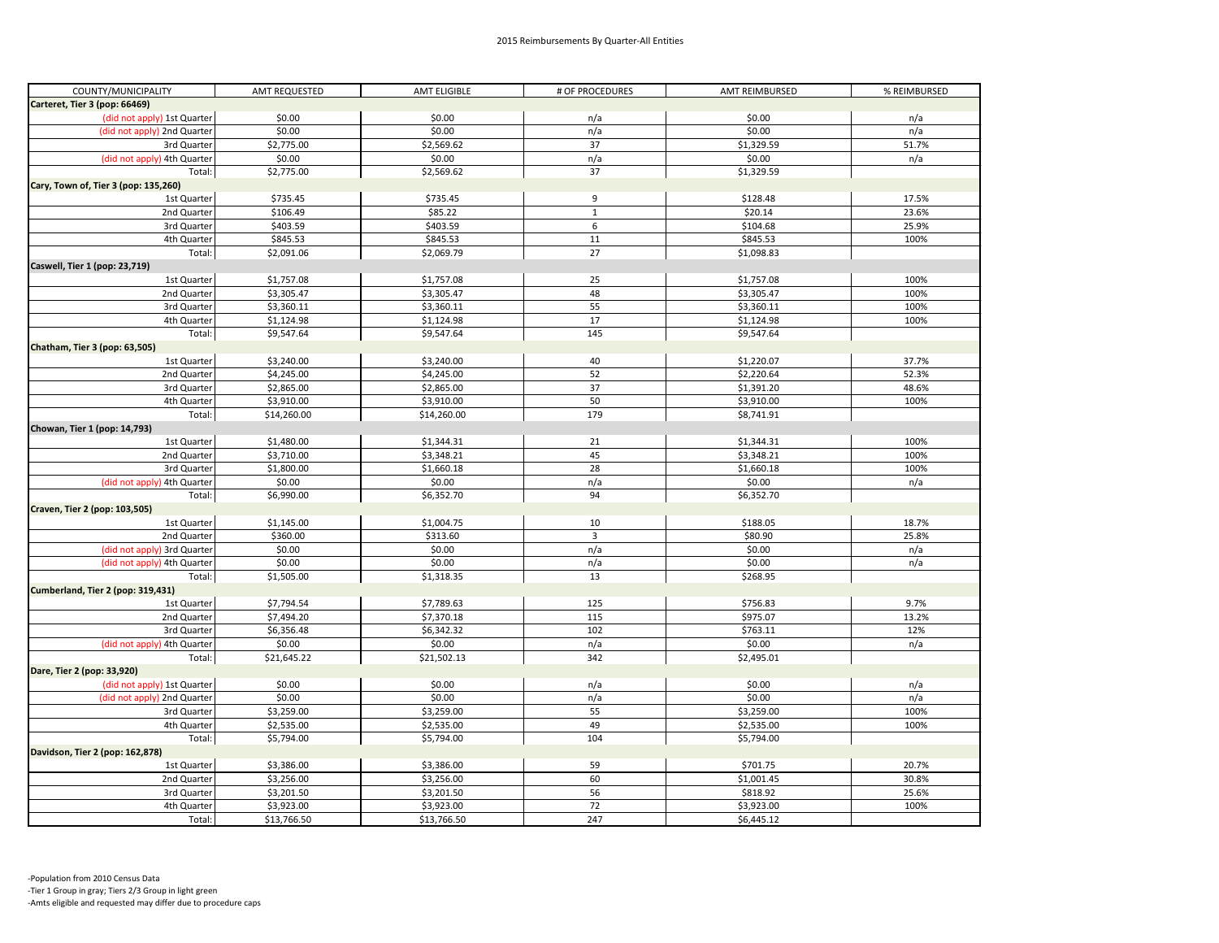| COUNTY/MUNICIPALITY                  | AMT REQUESTED | <b>AMT ELIGIBLE</b> | # OF PROCEDURES         | AMT REIMBURSED | % REIMBURSED   |
|--------------------------------------|---------------|---------------------|-------------------------|----------------|----------------|
| Carteret, Tier 3 (pop: 66469)        |               |                     |                         |                |                |
| (did not apply) 1st Quarter          | \$0.00        | \$0.00              | n/a                     | \$0.00         | n/a            |
| (did not apply) 2nd Quarter          | \$0.00        | \$0.00              | n/a                     | \$0.00         | n/a            |
| 3rd Quarter                          | \$2,775.00    | \$2,569.62          | 37                      | \$1,329.59     | 51.7%          |
| (did not apply) 4th Quarter          | \$0.00        | \$0.00              | n/a                     | \$0.00         | n/a            |
| Total:                               | \$2,775.00    | \$2,569.62          | 37                      | \$1,329.59     |                |
| Cary, Town of, Tier 3 (pop: 135,260) |               |                     |                         |                |                |
| 1st Quarter                          | \$735.45      | \$735.45            | 9                       | \$128.48       | 17.5%          |
| 2nd Quarter                          | \$106.49      | \$85.22             | $\,$ 1 $\,$             | \$20.14        | 23.6%          |
| 3rd Quarter                          | \$403.59      | \$403.59            | $\,$ 6 $\,$             | \$104.68       | 25.9%          |
| 4th Quarter                          | \$845.53      | \$845.53            | 11                      | \$845.53       | 100%           |
| Total:                               | \$2,091.06    | \$2,069.79          | 27                      | \$1,098.83     |                |
| Caswell, Tier 1 (pop: 23,719)        |               |                     |                         |                |                |
| 1st Quarter                          | \$1,757.08    | \$1,757.08          | 25                      | \$1,757.08     | 100%           |
| 2nd Quarter                          | \$3,305.47    | \$3,305.47          | 48                      | \$3,305.47     | 100%           |
| 3rd Quarter                          | \$3,360.11    | \$3,360.11          | 55                      | \$3,360.11     | 100%           |
| 4th Quarter                          | \$1,124.98    | \$1,124.98          | 17                      | \$1,124.98     | 100%           |
| Total:                               | \$9,547.64    | \$9,547.64          | 145                     | \$9,547.64     |                |
| Chatham, Tier 3 (pop: 63,505)        |               |                     |                         |                |                |
|                                      | \$3,240.00    | \$3,240.00          | 40                      | \$1,220.07     |                |
| 1st Quarter                          |               |                     | 52                      | \$2,220.64     | 37.7%<br>52.3% |
| 2nd Quarter                          | \$4,245.00    | \$4,245.00          |                         |                |                |
| 3rd Quarter                          | \$2,865.00    | \$2,865.00          | 37                      | \$1,391.20     | 48.6%          |
| 4th Quarter                          | \$3,910.00    | \$3,910.00          | 50                      | \$3,910.00     | 100%           |
| Total:                               | \$14,260.00   | \$14,260.00         | 179                     | \$8,741.91     |                |
| Chowan, Tier 1 (pop: 14,793)         |               |                     |                         |                |                |
| 1st Quarter                          | \$1,480.00    | \$1,344.31          | 21                      | \$1,344.31     | 100%           |
| 2nd Quarter                          | \$3,710.00    | \$3,348.21          | 45                      | \$3,348.21     | 100%           |
| 3rd Quarter                          | \$1,800.00    | \$1,660.18          | 28                      | \$1,660.18     | 100%           |
| (did not apply) 4th Quarter          | \$0.00        | \$0.00              | n/a                     | \$0.00         | n/a            |
| Total:                               | \$6,990.00    | \$6,352.70          | 94                      | \$6,352.70     |                |
| Craven, Tier 2 (pop: 103,505)        |               |                     |                         |                |                |
| 1st Quarter                          | \$1,145.00    | \$1,004.75          | 10                      | \$188.05       | 18.7%          |
| 2nd Quarter                          | \$360.00      | \$313.60            | $\overline{\mathbf{3}}$ | \$80.90        | 25.8%          |
| (did not apply) 3rd Quarter          | \$0.00        | \$0.00              | n/a                     | \$0.00         | n/a            |
| (did not apply) 4th Quarter          | \$0.00        | \$0.00              | n/a                     | \$0.00         | n/a            |
| Total:                               | \$1,505.00    | \$1,318.35          | 13                      | \$268.95       |                |
| Cumberland, Tier 2 (pop: 319,431)    |               |                     |                         |                |                |
| 1st Quarter                          | \$7,794.54    | \$7,789.63          | 125                     | \$756.83       | 9.7%           |
| 2nd Quarter                          | \$7,494.20    | \$7,370.18          | 115                     | \$975.07       | 13.2%          |
| 3rd Quarter                          | \$6,356.48    | \$6,342.32          | 102                     | \$763.11       | 12%            |
| (did not apply) 4th Quarter          | \$0.00        | \$0.00              | n/a                     | \$0.00         | n/a            |
| Total:                               | \$21,645.22   | \$21,502.13         | 342                     | \$2,495.01     |                |
| Dare, Tier 2 (pop: 33,920)           |               |                     |                         |                |                |
| (did not apply) 1st Quarter          | \$0.00        | \$0.00              | n/a                     | \$0.00         | n/a            |
| (did not apply) 2nd Quarter          | \$0.00        | \$0.00              | n/a                     | \$0.00         | n/a            |
| 3rd Quarter                          | \$3,259.00    | \$3,259.00          | 55                      | \$3,259.00     | 100%           |
| 4th Quarter                          | \$2,535.00    | \$2,535.00          | 49                      | \$2,535.00     | 100%           |
| Total:                               | \$5,794.00    | \$5,794.00          | 104                     | \$5,794.00     |                |
| Davidson, Tier 2 (pop: 162,878)      |               |                     |                         |                |                |
| 1st Quarter                          | \$3,386.00    | \$3,386.00          | 59                      | \$701.75       | 20.7%          |
| 2nd Quarter                          | \$3,256.00    | \$3,256.00          | 60                      | \$1,001.45     | 30.8%          |
| 3rd Quarter                          | \$3,201.50    | \$3,201.50          | 56                      | \$818.92       | 25.6%          |
| 4th Quarter                          | \$3,923.00    | \$3,923.00          | 72                      | \$3,923.00     | 100%           |
|                                      |               |                     | 247                     | \$6,445.12     |                |
| Total:                               | \$13,766.50   | \$13,766.50         |                         |                |                |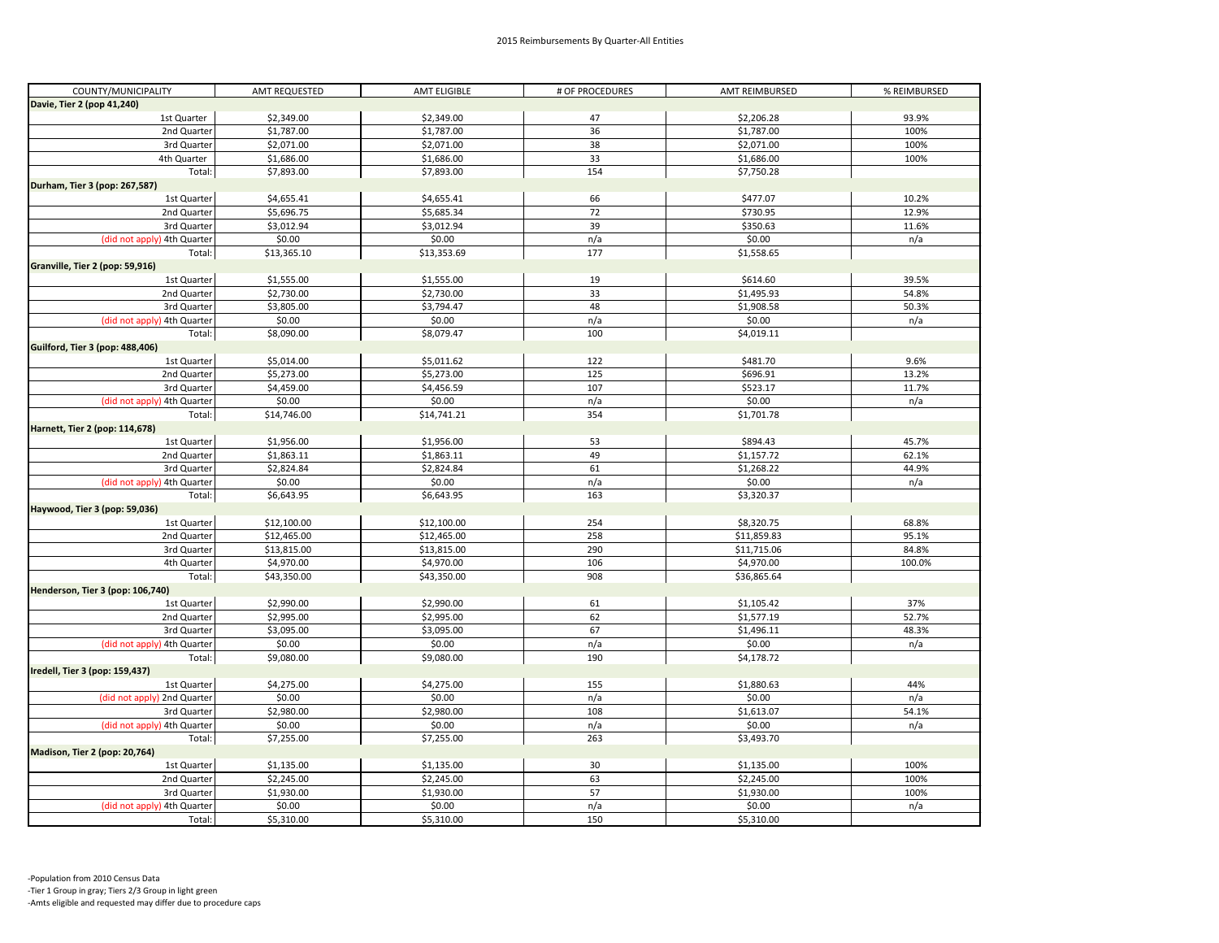| COUNTY/MUNICIPALITY              | AMT REQUESTED | AMT ELIGIBLE         | # OF PROCEDURES | AMT REIMBURSED     | % REIMBURSED |
|----------------------------------|---------------|----------------------|-----------------|--------------------|--------------|
| Davie, Tier 2 (pop 41,240)       |               |                      |                 |                    |              |
| 1st Quarter                      | \$2,349.00    | \$2,349.00           | 47              | \$2,206.28         | 93.9%        |
| 2nd Quarter                      | \$1,787.00    | \$1,787.00           | 36              | \$1,787.00         | 100%         |
| 3rd Quarter                      | \$2,071.00    | \$2,071.00           | 38              | \$2,071.00         | 100%         |
| 4th Quarter                      | \$1,686.00    | \$1,686.00           | 33              | \$1,686.00         | 100%         |
| Total:                           | \$7,893.00    | \$7,893.00           | 154             | \$7,750.28         |              |
| Durham, Tier 3 (pop: 267,587)    |               |                      |                 |                    |              |
| 1st Quarter                      | \$4,655.41    | \$4,655.41           | 66              | \$477.07           | 10.2%        |
| 2nd Quarter                      | \$5,696.75    | \$5,685.34           | 72              | \$730.95           | 12.9%        |
| 3rd Quarter                      | \$3,012.94    | \$3,012.94           | 39              | \$350.63           | 11.6%        |
| (did not apply) 4th Quarter      | \$0.00        | \$0.00               | n/a             | \$0.00             | n/a          |
| Total:                           | \$13,365.10   | \$13,353.69          | 177             | \$1,558.65         |              |
| Granville, Tier 2 (pop: 59,916)  |               |                      |                 |                    |              |
| 1st Quarter                      | \$1,555.00    | \$1,555.00           | 19              | \$614.60           | 39.5%        |
| 2nd Quarter                      | \$2,730.00    | \$2,730.00           | 33              | \$1,495.93         | 54.8%        |
| 3rd Quarter                      | \$3,805.00    | \$3,794.47           | 48              | \$1,908.58         | 50.3%        |
| (did not apply) 4th Quarter      | \$0.00        | \$0.00               | n/a             | \$0.00             | n/a          |
| Total:                           | \$8,090.00    | \$8,079.47           | 100             | \$4,019.11         |              |
| Guilford, Tier 3 (pop: 488,406)  |               |                      |                 |                    |              |
| 1st Quarter                      | \$5,014.00    | \$5,011.62           | 122             | \$481.70           | 9.6%         |
| 2nd Quarter                      | \$5,273.00    | \$5,273.00           | 125             | \$696.91           | 13.2%        |
|                                  | \$4,459.00    |                      | 107             |                    | 11.7%        |
| 3rd Quarter                      | \$0.00        | \$4,456.59<br>\$0.00 |                 | \$523.17<br>\$0.00 | n/a          |
| (did not apply) 4th Quarter      | \$14,746.00   | \$14,741.21          | n/a<br>354      | \$1,701.78         |              |
| Total:                           |               |                      |                 |                    |              |
| Harnett, Tier 2 (pop: 114,678)   |               |                      |                 |                    |              |
| 1st Quarter                      | \$1,956.00    | \$1,956.00           | 53              | \$894.43           | 45.7%        |
| 2nd Quarter                      | \$1,863.11    | \$1,863.11           | 49              | \$1,157.72         | 62.1%        |
| 3rd Quarter                      | \$2,824.84    | \$2,824.84           | 61              | \$1,268.22         | 44.9%        |
| (did not apply) 4th Quarter      | \$0.00        | \$0.00               | n/a             | \$0.00             | n/a          |
| Total:                           | \$6,643.95    | \$6,643.95           | 163             | \$3,320.37         |              |
| Haywood, Tier 3 (pop: 59,036)    |               |                      |                 |                    |              |
| 1st Quarter                      | \$12,100.00   | \$12,100.00          | 254             | \$8,320.75         | 68.8%        |
| 2nd Quarter                      | \$12,465.00   | \$12,465.00          | 258             | \$11,859.83        | 95.1%        |
| 3rd Quarter                      | \$13,815.00   | \$13,815.00          | 290             | \$11,715.06        | 84.8%        |
| 4th Quarter                      | \$4,970.00    | \$4,970.00           | 106             | \$4,970.00         | 100.0%       |
| Total:                           | \$43,350.00   | \$43,350.00          | 908             | \$36,865.64        |              |
| Henderson, Tier 3 (pop: 106,740) |               |                      |                 |                    |              |
| 1st Quarter                      | \$2,990.00    | \$2,990.00           | 61              | \$1,105.42         | 37%          |
| 2nd Quarter                      | \$2,995.00    | \$2,995.00           | 62              | \$1,577.19         | 52.7%        |
| 3rd Quarter                      | \$3,095.00    | \$3,095.00           | 67              | \$1,496.11         | 48.3%        |
| (did not apply) 4th Quarter      | \$0.00        | \$0.00               | n/a             | \$0.00             | n/a          |
| Total:                           | \$9,080.00    | \$9,080.00           | 190             | \$4,178.72         |              |
| Iredell, Tier 3 (pop: 159,437)   |               |                      |                 |                    |              |
| 1st Quarter                      | \$4,275.00    | \$4,275.00           | 155             | \$1,880.63         | 44%          |
| (did not apply) 2nd Quarter      | \$0.00        | \$0.00               | n/a             | \$0.00             | n/a          |
| 3rd Quarter                      | \$2,980.00    | \$2,980.00           | 108             | \$1,613.07         | 54.1%        |
| (did not apply) 4th Quarter      | \$0.00        | \$0.00               | n/a             | \$0.00             | n/a          |
| Total:                           | \$7,255.00    | \$7,255.00           | 263             | \$3,493.70         |              |
| Madison, Tier 2 (pop: 20,764)    |               |                      |                 |                    |              |
| 1st Quarter                      | \$1,135.00    | \$1,135.00           | 30              | \$1,135.00         | 100%         |
| 2nd Quarter                      | \$2,245.00    | \$2,245.00           | 63              | \$2,245.00         | 100%         |
| 3rd Quarter                      | \$1,930.00    | \$1,930.00           | 57              | \$1,930.00         | 100%         |
|                                  |               |                      |                 |                    |              |
| (did not apply) 4th Quarter      | \$0.00        | \$0.00               | n/a             | \$0.00             | n/a          |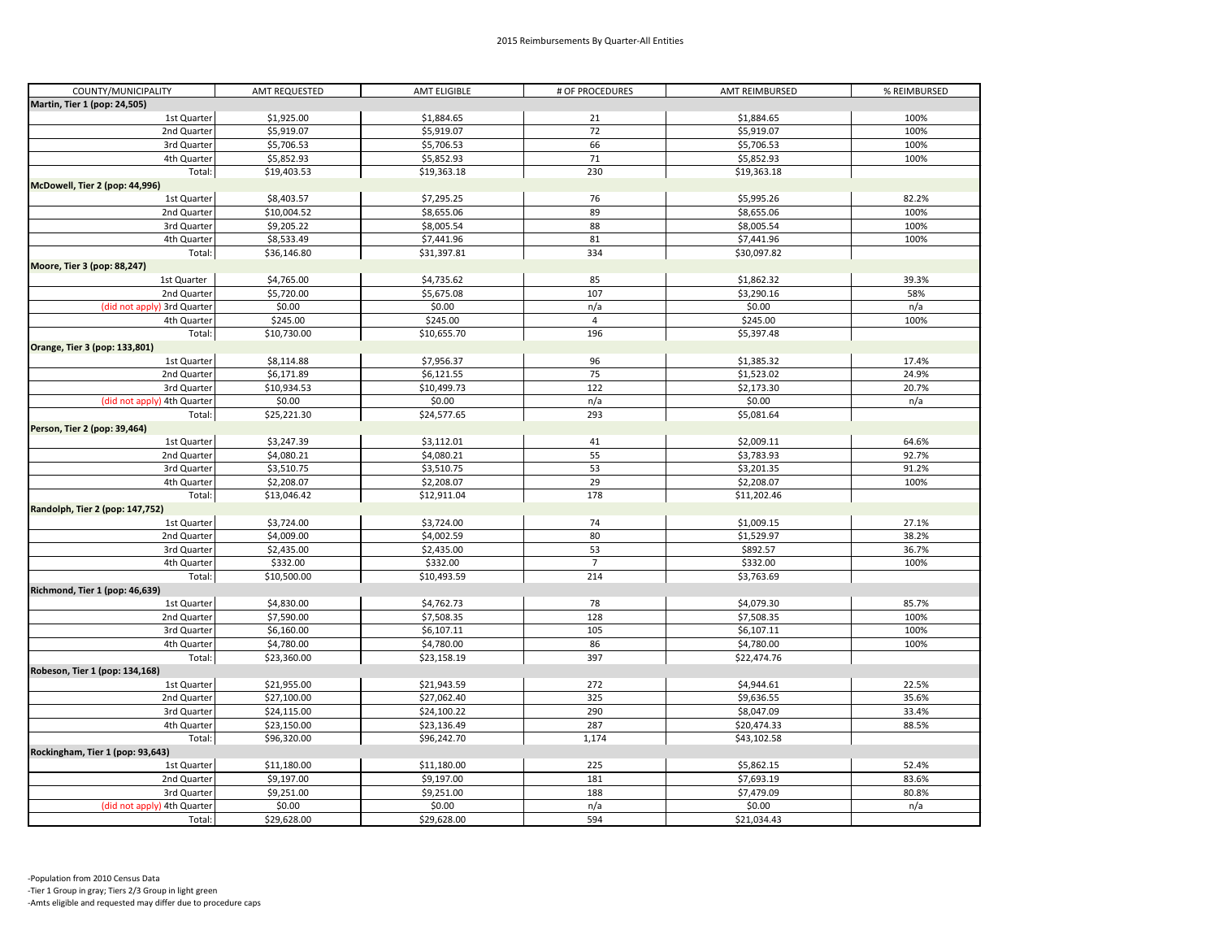| COUNTY/MUNICIPALITY              | AMT REQUESTED | AMT ELIGIBLE | # OF PROCEDURES | AMT REIMBURSED | % REIMBURSED |
|----------------------------------|---------------|--------------|-----------------|----------------|--------------|
| Martin, Tier 1 (pop: 24,505)     |               |              |                 |                |              |
| 1st Quarter                      | \$1,925.00    | \$1,884.65   | 21              | \$1,884.65     | 100%         |
| 2nd Quarter                      | \$5,919.07    | \$5,919.07   | 72              | \$5,919.07     | 100%         |
| 3rd Quarter                      | \$5,706.53    | \$5,706.53   | 66              | \$5,706.53     | 100%         |
| 4th Quarter                      | \$5,852.93    | \$5,852.93   | 71              | \$5,852.93     | 100%         |
| Total:                           | \$19,403.53   | \$19,363.18  | 230             | \$19,363.18    |              |
| McDowell, Tier 2 (pop: 44,996)   |               |              |                 |                |              |
| 1st Quarter                      | \$8,403.57    | \$7,295.25   | 76              | \$5,995.26     | 82.2%        |
| 2nd Quarter                      | \$10,004.52   | \$8,655.06   | 89              | \$8,655.06     | 100%         |
| 3rd Quarter                      | \$9,205.22    | \$8,005.54   | 88              | \$8,005.54     | 100%         |
| 4th Quarter                      | \$8,533.49    | \$7,441.96   | 81              | \$7,441.96     | 100%         |
| Total:                           | \$36,146.80   | \$31,397.81  | 334             | \$30,097.82    |              |
| Moore, Tier 3 (pop: 88,247)      |               |              |                 |                |              |
| 1st Quarter                      | \$4,765.00    | \$4,735.62   | 85              | \$1,862.32     | 39.3%        |
| 2nd Quarter                      | \$5,720.00    | \$5,675.08   | 107             | \$3,290.16     | 58%          |
| (did not apply) 3rd Quarter      | \$0.00        | \$0.00       | n/a             | \$0.00         | n/a          |
| 4th Quarter                      | \$245.00      | \$245.00     | $\overline{4}$  | \$245.00       | 100%         |
| Total:                           | \$10,730.00   | \$10,655.70  | 196             | \$5,397.48     |              |
| Orange, Tier 3 (pop: 133,801)    |               |              |                 |                |              |
| 1st Quarter                      | \$8,114.88    | \$7,956.37   | 96              | \$1,385.32     | 17.4%        |
| 2nd Quarter                      | \$6,171.89    | \$6,121.55   | 75              | \$1,523.02     | 24.9%        |
|                                  |               |              |                 |                |              |
| 3rd Quarter                      | \$10,934.53   | \$10,499.73  | 122             | \$2,173.30     | 20.7%        |
| (did not apply) 4th Quarter      | \$0.00        | \$0.00       | n/a             | \$0.00         | n/a          |
| Total:                           | \$25,221.30   | \$24,577.65  | 293             | \$5,081.64     |              |
| Person, Tier 2 (pop: 39,464)     |               |              |                 |                |              |
| 1st Quarter                      | \$3,247.39    | \$3,112.01   | 41              | \$2,009.11     | 64.6%        |
| 2nd Quarter                      | \$4,080.21    | \$4,080.21   | 55              | \$3,783.93     | 92.7%        |
| 3rd Quarter                      | \$3,510.75    | \$3,510.75   | 53              | \$3,201.35     | 91.2%        |
| 4th Quarter                      | \$2,208.07    | \$2,208.07   | 29              | \$2,208.07     | 100%         |
| Total:                           | \$13,046.42   | \$12,911.04  | 178             | \$11,202.46    |              |
| Randolph, Tier 2 (pop: 147,752)  |               |              |                 |                |              |
| 1st Quarter                      | \$3,724.00    | \$3,724.00   | 74              | \$1,009.15     | 27.1%        |
| 2nd Quarter                      | \$4,009.00    | \$4,002.59   | 80              | \$1,529.97     | 38.2%        |
| 3rd Quarter                      | \$2,435.00    | \$2,435.00   | 53              | \$892.57       | 36.7%        |
| 4th Quarter                      | \$332.00      | \$332.00     | $\overline{7}$  | \$332.00       | 100%         |
| Total:                           | \$10,500.00   | \$10,493.59  | 214             | \$3,763.69     |              |
| Richmond, Tier 1 (pop: 46,639)   |               |              |                 |                |              |
| 1st Quarter                      | \$4,830.00    | \$4,762.73   | 78              | \$4,079.30     | 85.7%        |
| 2nd Quarter                      | \$7,590.00    | \$7,508.35   | 128             | \$7,508.35     | 100%         |
| 3rd Quarter                      | \$6,160.00    | \$6,107.11   | 105             | \$6,107.11     | 100%         |
| 4th Quarter                      | \$4,780.00    | \$4,780.00   | 86              | \$4,780.00     | 100%         |
| Total:                           | \$23,360.00   | \$23,158.19  | 397             | \$22,474.76    |              |
| Robeson, Tier 1 (pop: 134,168)   |               |              |                 |                |              |
| 1st Quarter                      | \$21,955.00   | \$21,943.59  | 272             | \$4,944.61     | 22.5%        |
| 2nd Quarter                      | \$27,100.00   | \$27,062.40  | 325             | \$9,636.55     | 35.6%        |
| 3rd Quarter                      | \$24,115.00   | \$24,100.22  | 290             | \$8,047.09     | 33.4%        |
| 4th Quarter                      | \$23,150.00   | \$23,136.49  | 287             | \$20,474.33    | 88.5%        |
| Total:                           | \$96,320.00   | \$96,242.70  | 1,174           | \$43,102.58    |              |
| Rockingham, Tier 1 (pop: 93,643) |               |              |                 |                |              |
| 1st Quarter                      | \$11,180.00   | \$11,180.00  | 225             | \$5,862.15     | 52.4%        |
| 2nd Quarter                      | \$9,197.00    | \$9,197.00   | 181             | \$7,693.19     | 83.6%        |
| 3rd Quarter                      | \$9,251.00    | \$9,251.00   | 188             | \$7,479.09     | 80.8%        |
| (did not apply) 4th Quarter      | \$0.00        | \$0.00       | n/a             | \$0.00         | n/a          |
|                                  |               |              |                 |                |              |
| Total:                           | \$29,628.00   | \$29,628.00  | 594             | \$21,034.43    |              |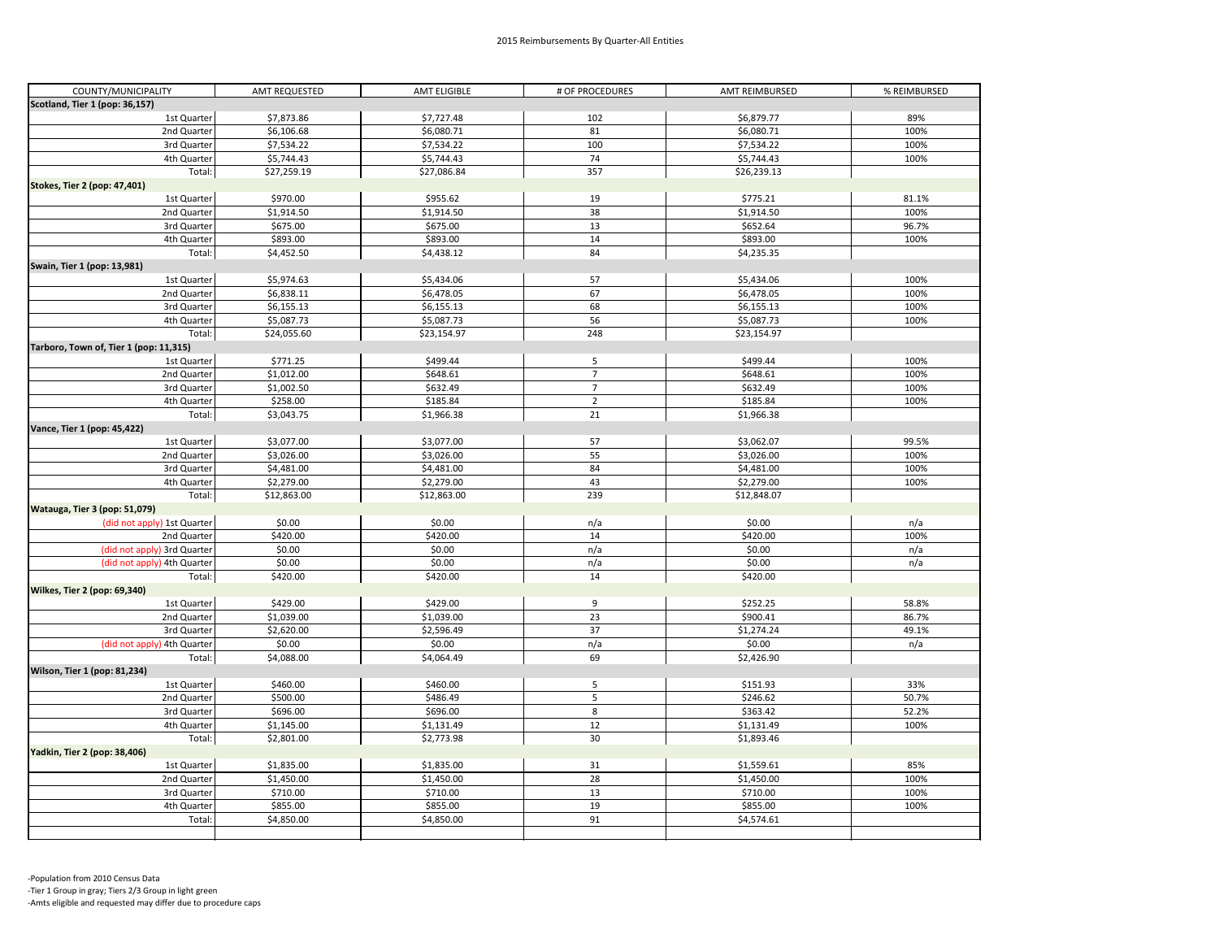| COUNTY/MUNICIPALITY                    | AMT REQUESTED | AMT ELIGIBLE | # OF PROCEDURES | AMT REIMBURSED | % REIMBURSED |
|----------------------------------------|---------------|--------------|-----------------|----------------|--------------|
| Scotland, Tier 1 (pop: 36,157)         |               |              |                 |                |              |
| 1st Quarter                            | \$7,873.86    | \$7,727.48   | 102             | \$6,879.77     | 89%          |
| 2nd Quarter                            | \$6,106.68    | \$6,080.71   | 81              | \$6,080.71     | 100%         |
| 3rd Quarter                            | \$7,534.22    | \$7,534.22   | 100             | \$7,534.22     | 100%         |
| 4th Quarter                            | \$5,744.43    | \$5,744.43   | 74              | \$5,744.43     | 100%         |
| Total:                                 | \$27,259.19   | \$27,086.84  | 357             | \$26,239.13    |              |
| Stokes, Tier 2 (pop: 47,401)           |               |              |                 |                |              |
| 1st Quarter                            | \$970.00      | \$955.62     | 19              | \$775.21       | 81.1%        |
| 2nd Quarter                            | \$1,914.50    | \$1,914.50   | 38              | \$1,914.50     | 100%         |
| 3rd Quarter                            | \$675.00      | \$675.00     | 13              | \$652.64       | 96.7%        |
| 4th Quarter                            | \$893.00      | \$893.00     | 14              | \$893.00       | 100%         |
| Total:                                 | \$4,452.50    | \$4,438.12   | 84              | \$4,235.35     |              |
| Swain, Tier 1 (pop: 13,981)            |               |              |                 |                |              |
| 1st Quarter                            | \$5,974.63    | \$5,434.06   | 57              | \$5,434.06     | 100%         |
| 2nd Quarter                            | \$6,838.11    | \$6,478.05   | 67              | \$6,478.05     | 100%         |
| 3rd Quarter                            | \$6,155.13    | \$6,155.13   | 68              | \$6,155.13     | 100%         |
| 4th Quarter                            | \$5,087.73    | \$5,087.73   | 56              | \$5,087.73     | 100%         |
| Total:                                 | \$24,055.60   | \$23,154.97  | 248             | \$23,154.97    |              |
| Tarboro, Town of, Tier 1 (pop: 11,315) |               |              |                 |                |              |
| 1st Quarter                            | \$771.25      | \$499.44     | 5               | \$499.44       | 100%         |
| 2nd Quarter                            | \$1,012.00    | \$648.61     | $\overline{7}$  | \$648.61       | 100%         |
| 3rd Quarter                            | \$1,002.50    | \$632.49     | $\overline{7}$  | \$632.49       | 100%         |
| 4th Quarter                            | \$258.00      | \$185.84     | $\mathbf 2$     | \$185.84       | 100%         |
| Total:                                 | \$3,043.75    | \$1,966.38   | 21              | \$1,966.38     |              |
| Vance, Tier 1 (pop: 45,422)            |               |              |                 |                |              |
| 1st Quarter                            | \$3,077.00    | \$3,077.00   | 57              | \$3,062.07     | 99.5%        |
| 2nd Quarter                            | \$3,026.00    | \$3,026.00   | 55              | \$3,026.00     | 100%         |
| 3rd Quarter                            | \$4,481.00    | \$4,481.00   | 84              | \$4,481.00     | 100%         |
| 4th Quarter                            | \$2,279.00    | \$2,279.00   | 43              | \$2,279.00     | 100%         |
| Total:                                 | \$12,863.00   | \$12,863.00  | 239             | \$12,848.07    |              |
| Watauga, Tier 3 (pop: 51,079)          |               |              |                 |                |              |
| (did not apply) 1st Quarter            | \$0.00        | \$0.00       | n/a             | \$0.00         | n/a          |
| 2nd Quarter                            | \$420.00      | \$420.00     | 14              | \$420.00       | 100%         |
| (did not apply) 3rd Quarter            | \$0.00        | \$0.00       | n/a             | \$0.00         | n/a          |
| (did not apply) 4th Quarter            | \$0.00        | \$0.00       | n/a             | \$0.00         | n/a          |
| Total:                                 | \$420.00      | \$420.00     | 14              | \$420.00       |              |
| Wilkes, Tier 2 (pop: 69,340)           |               |              |                 |                |              |
| 1st Quarter                            | \$429.00      | \$429.00     | 9               | \$252.25       | 58.8%        |
| 2nd Quarter                            | \$1,039.00    | \$1,039.00   | 23              | \$900.41       | 86.7%        |
| 3rd Quarter                            | \$2,620.00    | \$2,596.49   | 37              | \$1,274.24     | 49.1%        |
| (did not apply) 4th Quarter            | \$0.00        | \$0.00       | n/a             | \$0.00         | n/a          |
| Total:                                 | \$4,088.00    | \$4,064.49   | 69              | \$2,426.90     |              |
| Wilson, Tier 1 (pop: 81,234)           |               |              |                 |                |              |
| 1st Quarter                            | \$460.00      | \$460.00     | 5               | \$151.93       | 33%          |
| 2nd Quarter                            | \$500.00      | \$486.49     | 5               | \$246.62       | 50.7%        |
| 3rd Quarter                            | \$696.00      | \$696.00     | 8               | \$363.42       | 52.2%        |
| 4th Quarter                            | \$1,145.00    | \$1,131.49   | 12              | \$1,131.49     | 100%         |
| Total:                                 | \$2,801.00    | \$2,773.98   | 30              | \$1,893.46     |              |
| Yadkin, Tier 2 (pop: 38,406)           |               |              |                 |                |              |
| 1st Quarter                            | \$1,835.00    | \$1,835.00   | 31              | \$1,559.61     | 85%          |
| 2nd Quarter                            | \$1,450.00    | \$1,450.00   | 28              | \$1,450.00     | 100%         |
| 3rd Quarter                            | \$710.00      | \$710.00     | 13              | \$710.00       | 100%         |
| 4th Quarter                            | \$855.00      | \$855.00     | 19              | \$855.00       | 100%         |
| Total:                                 | \$4,850.00    | \$4,850.00   | 91              | \$4,574.61     |              |
|                                        |               |              |                 |                |              |
|                                        |               |              |                 |                |              |